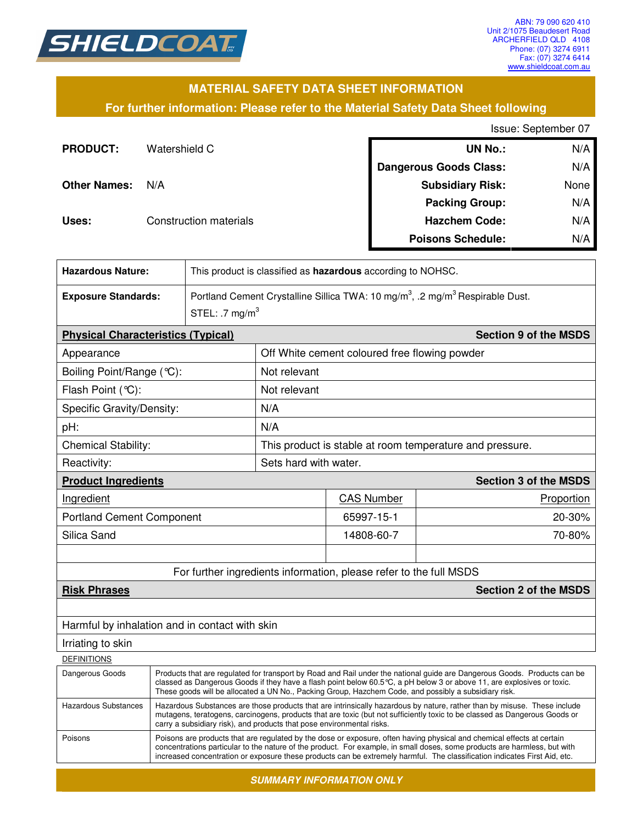

#### **MATERIAL SAFETY DATA SHEET INFORMATION**

**For further information: Please refer to the Material Safety Data Sheet following**

Issue: September 07

| <b>PRODUCT:</b>     | Watershield C          | <b>UN No.:</b>                | N/A  |
|---------------------|------------------------|-------------------------------|------|
|                     |                        | <b>Dangerous Goods Class:</b> | N/A  |
| <b>Other Names:</b> | N/A                    | <b>Subsidiary Risk:</b>       | None |
|                     |                        | <b>Packing Group:</b>         | N/A  |
| Uses:               | Construction materials | <b>Hazchem Code:</b>          | N/A  |
|                     |                        | <b>Poisons Schedule:</b>      | N/A  |

| <b>Hazardous Nature:</b>                            |                                                                                                                                                                                                                                                                                                                                                             | This product is classified as hazardous according to NOHSC.                                           |                                                          |                                                                    |                              |  |
|-----------------------------------------------------|-------------------------------------------------------------------------------------------------------------------------------------------------------------------------------------------------------------------------------------------------------------------------------------------------------------------------------------------------------------|-------------------------------------------------------------------------------------------------------|----------------------------------------------------------|--------------------------------------------------------------------|------------------------------|--|
| <b>Exposure Standards:</b>                          |                                                                                                                                                                                                                                                                                                                                                             | Portland Cement Crystalline Sillica TWA: 10 mg/m <sup>3</sup> , .2 mg/m <sup>3</sup> Respirable Dust. |                                                          |                                                                    |                              |  |
|                                                     |                                                                                                                                                                                                                                                                                                                                                             | STEL: .7 $mg/m3$                                                                                      |                                                          |                                                                    |                              |  |
|                                                     | <b>Physical Characteristics (Typical)</b>                                                                                                                                                                                                                                                                                                                   |                                                                                                       |                                                          |                                                                    | <b>Section 9 of the MSDS</b> |  |
| Appearance                                          |                                                                                                                                                                                                                                                                                                                                                             |                                                                                                       |                                                          | Off White cement coloured free flowing powder                      |                              |  |
| Boiling Point/Range (°C):                           |                                                                                                                                                                                                                                                                                                                                                             |                                                                                                       | Not relevant                                             |                                                                    |                              |  |
| Flash Point (°C):                                   |                                                                                                                                                                                                                                                                                                                                                             |                                                                                                       | Not relevant                                             |                                                                    |                              |  |
| Specific Gravity/Density:                           |                                                                                                                                                                                                                                                                                                                                                             |                                                                                                       | N/A                                                      |                                                                    |                              |  |
| pH:                                                 |                                                                                                                                                                                                                                                                                                                                                             |                                                                                                       | N/A                                                      |                                                                    |                              |  |
| <b>Chemical Stability:</b>                          |                                                                                                                                                                                                                                                                                                                                                             |                                                                                                       | This product is stable at room temperature and pressure. |                                                                    |                              |  |
| Reactivity:                                         |                                                                                                                                                                                                                                                                                                                                                             |                                                                                                       |                                                          | Sets hard with water.                                              |                              |  |
| <b>Product Ingredients</b>                          |                                                                                                                                                                                                                                                                                                                                                             |                                                                                                       |                                                          |                                                                    | <b>Section 3 of the MSDS</b> |  |
| Ingredient                                          |                                                                                                                                                                                                                                                                                                                                                             |                                                                                                       |                                                          | <b>CAS Number</b>                                                  | Proportion                   |  |
| <b>Portland Cement Component</b>                    |                                                                                                                                                                                                                                                                                                                                                             |                                                                                                       |                                                          | 65997-15-1                                                         | 20-30%                       |  |
| Silica Sand                                         |                                                                                                                                                                                                                                                                                                                                                             |                                                                                                       |                                                          | 14808-60-7                                                         | 70-80%                       |  |
|                                                     |                                                                                                                                                                                                                                                                                                                                                             |                                                                                                       |                                                          |                                                                    |                              |  |
|                                                     |                                                                                                                                                                                                                                                                                                                                                             |                                                                                                       |                                                          | For further ingredients information, please refer to the full MSDS |                              |  |
| <b>Section 2 of the MSDS</b><br><b>Risk Phrases</b> |                                                                                                                                                                                                                                                                                                                                                             |                                                                                                       |                                                          |                                                                    |                              |  |
|                                                     |                                                                                                                                                                                                                                                                                                                                                             |                                                                                                       |                                                          |                                                                    |                              |  |
| Harmful by inhalation and in contact with skin      |                                                                                                                                                                                                                                                                                                                                                             |                                                                                                       |                                                          |                                                                    |                              |  |
| Irriating to skin                                   |                                                                                                                                                                                                                                                                                                                                                             |                                                                                                       |                                                          |                                                                    |                              |  |
| <b>DEFINITIONS</b>                                  |                                                                                                                                                                                                                                                                                                                                                             |                                                                                                       |                                                          |                                                                    |                              |  |
| Dangerous Goods                                     | Products that are regulated for transport by Road and Rail under the national guide are Dangerous Goods. Products can be<br>classed as Dangerous Goods if they have a flash point below 60.5 °C, a pH below 3 or above 11, are explosives or toxic.<br>These goods will be allocated a UN No., Packing Group, Hazchem Code, and possibly a subsidiary risk. |                                                                                                       |                                                          |                                                                    |                              |  |
| <b>Hazardous Substances</b>                         | Hazardous Substances are those products that are intrinsically hazardous by nature, rather than by misuse. These include<br>mutagens, teratogens, carcinogens, products that are toxic (but not sufficiently toxic to be classed as Dangerous Goods or                                                                                                      |                                                                                                       |                                                          |                                                                    |                              |  |

carry a subsidiary risk), and products that pose environmental risks. Poisons Poisons are products that are regulated by the dose or exposure, often having physical and chemical effects at certain concentrations particular to the nature of the product. For example, in small doses, some products are harmless, but with increased concentration or exposure these products can be extremely harmful. The classification indicates First Aid, etc.

*SUMMARY INFORMATION ONLY*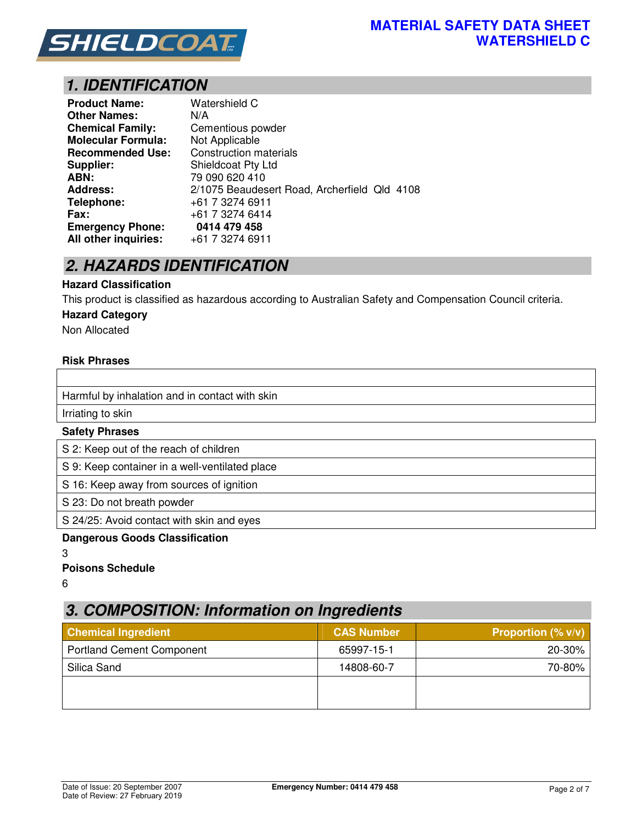

## *1. IDENTIFICATION*

| <b>Product Name:</b>      | Watershield C                                |
|---------------------------|----------------------------------------------|
| <b>Other Names:</b>       | N/A                                          |
| <b>Chemical Family:</b>   | Cementious powder                            |
| <b>Molecular Formula:</b> | Not Applicable                               |
| <b>Recommended Use:</b>   | <b>Construction materials</b>                |
| Supplier:                 | Shieldcoat Pty Ltd                           |
| ABN:                      | 79 090 620 410                               |
| <b>Address:</b>           | 2/1075 Beaudesert Road, Archerfield Qld 4108 |
| Telephone:                | +61 7 3274 6911                              |
| Fax:                      | +61 7 3274 6414                              |
| <b>Emergency Phone:</b>   | 0414 479 458                                 |
| All other inquiries:      | +61 7 3274 6911                              |

## *2. HAZARDS IDENTIFICATION*

#### **Hazard Classification**

This product is classified as hazardous according to Australian Safety and Compensation Council criteria.

#### **Hazard Category**

Non Allocated

#### **Risk Phrases**

| Harmful by inhalation and in contact with skin |
|------------------------------------------------|
| Irriating to skin                              |
| <b>Safety Phrases</b>                          |
| S 2: Keep out of the reach of children         |
| S 9: Keep container in a well-ventilated place |
| S 16: Keep away from sources of ignition       |
| S 23: Do not breath powder                     |

S 24/25: Avoid contact with skin and eyes

#### **Dangerous Goods Classification**

3

#### **Poisons Schedule**

6

## *3. COMPOSITION: Information on Ingredients*

| <b>Chemical Ingredient</b>       | <b>CAS Number</b> | Proportion $(\% v/v)$ |
|----------------------------------|-------------------|-----------------------|
| <b>Portland Cement Component</b> | 65997-15-1        | 20-30%                |
| Silica Sand                      | 14808-60-7        | 70-80%                |
|                                  |                   |                       |
|                                  |                   |                       |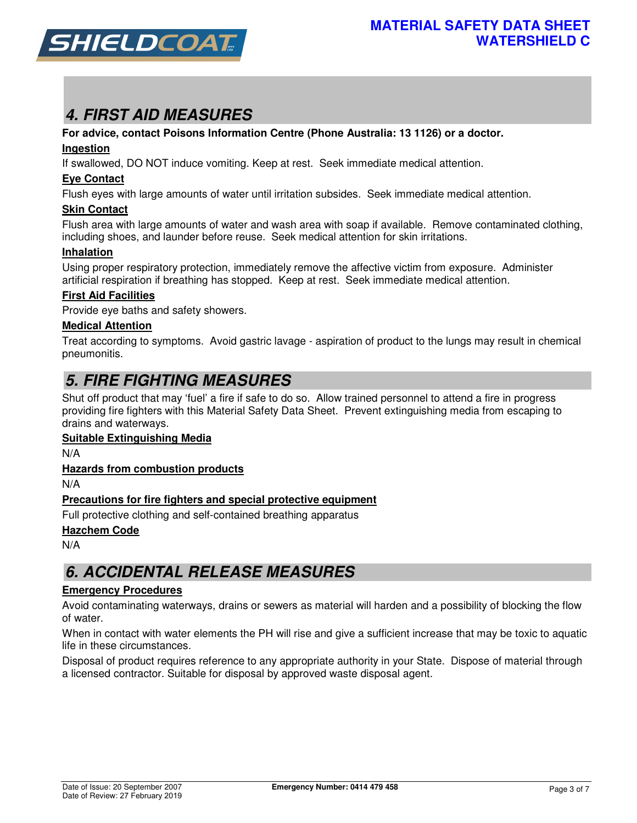

# *4. FIRST AID MEASURES*

#### **For advice, contact Poisons Information Centre (Phone Australia: 13 1126) or a doctor.**

#### **Ingestion**

If swallowed, DO NOT induce vomiting. Keep at rest. Seek immediate medical attention.

#### **Eye Contact**

Flush eyes with large amounts of water until irritation subsides. Seek immediate medical attention.

#### **Skin Contact**

Flush area with large amounts of water and wash area with soap if available. Remove contaminated clothing, including shoes, and launder before reuse. Seek medical attention for skin irritations.

#### **Inhalation**

Using proper respiratory protection, immediately remove the affective victim from exposure. Administer artificial respiration if breathing has stopped. Keep at rest. Seek immediate medical attention.

#### **First Aid Facilities**

Provide eye baths and safety showers.

#### **Medical Attention**

Treat according to symptoms. Avoid gastric lavage - aspiration of product to the lungs may result in chemical pneumonitis.

## *5. FIRE FIGHTING MEASURES*

Shut off product that may 'fuel' a fire if safe to do so. Allow trained personnel to attend a fire in progress providing fire fighters with this Material Safety Data Sheet. Prevent extinguishing media from escaping to drains and waterways.

#### **Suitable Extinguishing Media**

N/A

#### **Hazards from combustion products**

N/A

#### **Precautions for fire fighters and special protective equipment**

Full protective clothing and self-contained breathing apparatus

#### **Hazchem Code**

N/A

## *6. ACCIDENTAL RELEASE MEASURES*

#### **Emergency Procedures**

Avoid contaminating waterways, drains or sewers as material will harden and a possibility of blocking the flow of water.

When in contact with water elements the PH will rise and give a sufficient increase that may be toxic to aquatic life in these circumstances.

Disposal of product requires reference to any appropriate authority in your State. Dispose of material through a licensed contractor. Suitable for disposal by approved waste disposal agent.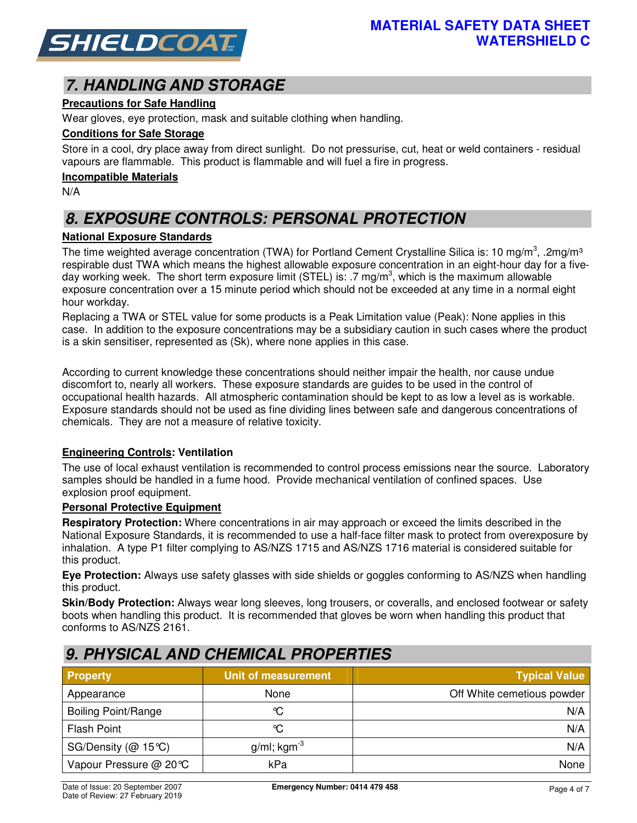

# *7. HANDLING AND STORAGE*

#### **Precautions for Safe Handling**

Wear gloves, eye protection, mask and suitable clothing when handling.

#### **Conditions for Safe Storage**

Store in a cool, dry place away from direct sunlight. Do not pressurise, cut, heat or weld containers - residual vapours are flammable. This product is flammable and will fuel a fire in progress.

#### **Incompatible Materials**

N/A

# *8. EXPOSURE CONTROLS: PERSONAL PROTECTION*

#### **National Exposure Standards**

The time weighted average concentration (TWA) for Portland Cement Crystalline Silica is: 10 mg/m<sup>3</sup>, .2mg/m<sup>3</sup> respirable dust TWA which means the highest allowable exposure concentration in an eight-hour day for a fiveday working week. The short term exposure limit (STEL) is: .7 mg/m<sup>3</sup>, which is the maximum allowable exposure concentration over a 15 minute period which should not be exceeded at any time in a normal eight hour workday.

Replacing a TWA or STEL value for some products is a Peak Limitation value (Peak): None applies in this case. In addition to the exposure concentrations may be a subsidiary caution in such cases where the product is a skin sensitiser, represented as (Sk), where none applies in this case.

According to current knowledge these concentrations should neither impair the health, nor cause undue discomfort to, nearly all workers. These exposure standards are guides to be used in the control of occupational health hazards. All atmospheric contamination should be kept to as low a level as is workable. Exposure standards should not be used as fine dividing lines between safe and dangerous concentrations of chemicals. They are not a measure of relative toxicity.

#### **Engineering Controls: Ventilation**

The use of local exhaust ventilation is recommended to control process emissions near the source. Laboratory samples should be handled in a fume hood. Provide mechanical ventilation of confined spaces. Use explosion proof equipment.

#### **Personal Protective Equipment**

**Respiratory Protection:** Where concentrations in air may approach or exceed the limits described in the National Exposure Standards, it is recommended to use a half-face filter mask to protect from overexposure by inhalation. A type P1 filter complying to AS/NZS 1715 and AS/NZS 1716 material is considered suitable for this product.

**Eye Protection:** Always use safety glasses with side shields or goggles conforming to AS/NZS when handling this product.

**Skin/Body Protection:** Always wear long sleeves, long trousers, or coveralls, and enclosed footwear or safety boots when handling this product. It is recommended that gloves be worn when handling this product that conforms to AS/NZS 2161.

# *9. PHYSICAL AND CHEMICAL PROPERTIES*

| <b>Property</b>            | Unit of measurement        | <b>Typical Value</b>       |
|----------------------------|----------------------------|----------------------------|
| Appearance                 | None                       | Off White cemetious powder |
| <b>Boiling Point/Range</b> | ℃                          | N/A                        |
| <b>Flash Point</b>         | °C                         | N/A                        |
| SG/Density ( $@$ 15°C)     | $g/ml$ ; kgm <sup>-3</sup> | N/A                        |
| Vapour Pressure @ 20°C     | kPa                        | None                       |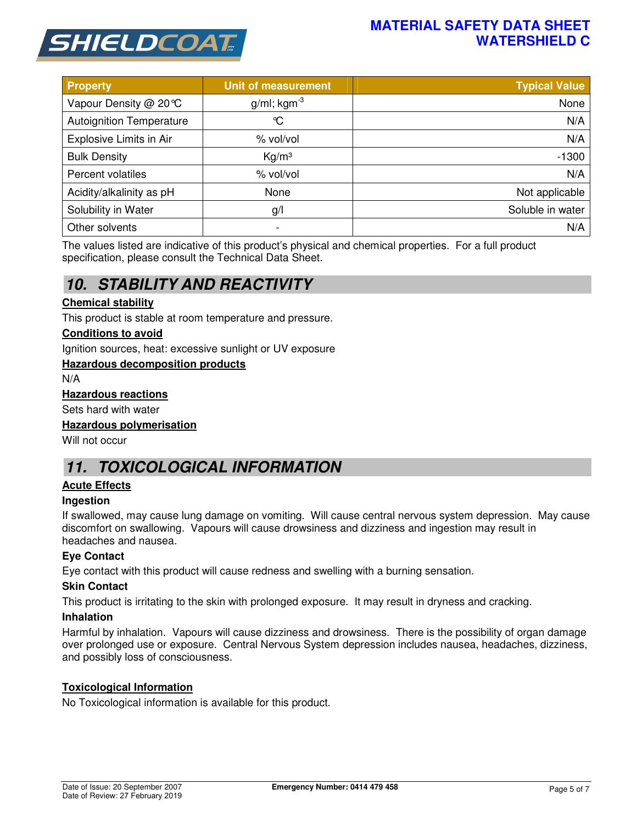

### **MATERIAL SAFETY DATA SHEET WATERSHIELD C**

| <b>Property</b>                 | <b>Unit of measurement</b> | <b>Typical Value</b> |
|---------------------------------|----------------------------|----------------------|
| Vapour Density @ 20℃            | $g/ml$ ; kgm <sup>-3</sup> | None                 |
| <b>Autoignition Temperature</b> | $\infty$                   | N/A                  |
| Explosive Limits in Air         | % vol/vol                  | N/A                  |
| <b>Bulk Density</b>             | Kg/m <sup>3</sup>          | $-1300$              |
| Percent volatiles               | % vol/vol                  | N/A                  |
| Acidity/alkalinity as pH        | None                       | Not applicable       |
| Solubility in Water             | g/                         | Soluble in water     |
| Other solvents                  |                            | N/A                  |

The values listed are indicative of this product's physical and chemical properties. For a full product specification, please consult the Technical Data Sheet.

## *10. STABILITY AND REACTIVITY*

#### **Chemical stability**

This product is stable at room temperature and pressure.

#### **Conditions to avoid**

Ignition sources, heat: excessive sunlight or UV exposure

#### **Hazardous decomposition products**

N/A

#### **Hazardous reactions**

Sets hard with water

#### **Hazardous polymerisation**

Will not occur

## *11. TOXICOLOGICAL INFORMATION*

#### **Acute Effects**

#### **Ingestion**

If swallowed, may cause lung damage on vomiting. Will cause central nervous system depression. May cause discomfort on swallowing. Vapours will cause drowsiness and dizziness and ingestion may result in headaches and nausea.

#### **Eye Contact**

Eye contact with this product will cause redness and swelling with a burning sensation.

#### **Skin Contact**

This product is irritating to the skin with prolonged exposure. It may result in dryness and cracking.

#### **Inhalation**

Harmful by inhalation. Vapours will cause dizziness and drowsiness. There is the possibility of organ damage over prolonged use or exposure. Central Nervous System depression includes nausea, headaches, dizziness, and possibly loss of consciousness.

#### **Toxicological Information**

No Toxicological information is available for this product.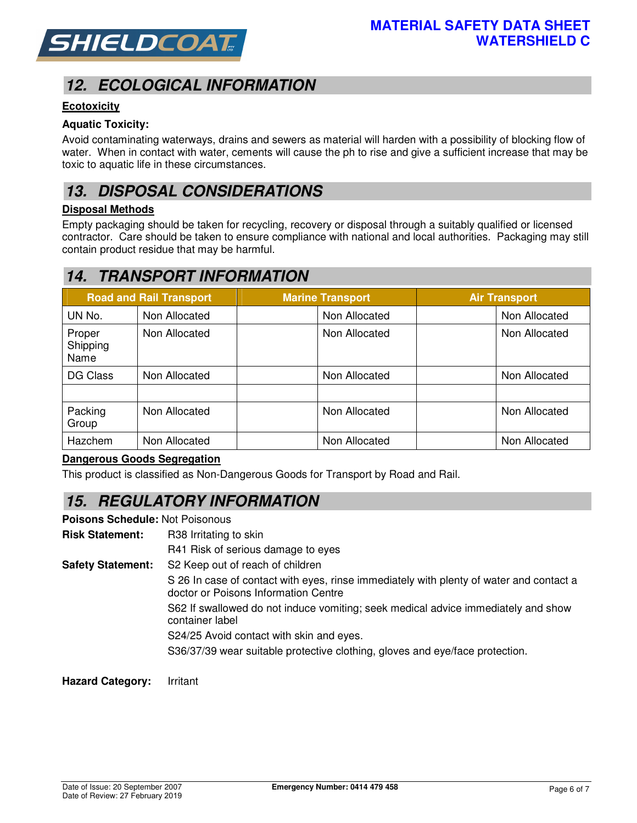

# *12. ECOLOGICAL INFORMATION*

#### **Ecotoxicity**

#### **Aquatic Toxicity:**

Avoid contaminating waterways, drains and sewers as material will harden with a possibility of blocking flow of water. When in contact with water, cements will cause the ph to rise and give a sufficient increase that may be toxic to aquatic life in these circumstances.

## *13. DISPOSAL CONSIDERATIONS*

#### **Disposal Methods**

Empty packaging should be taken for recycling, recovery or disposal through a suitably qualified or licensed contractor. Care should be taken to ensure compliance with national and local authorities. Packaging may still contain product residue that may be harmful.

## *14. TRANSPORT INFORMATION*

|                            | <b>Road and Rail Transport</b> | <b>Marine Transport</b> | <b>Air Transport</b> |
|----------------------------|--------------------------------|-------------------------|----------------------|
| UN No.                     | Non Allocated                  | Non Allocated           | Non Allocated        |
| Proper<br>Shipping<br>Name | Non Allocated                  | Non Allocated           | Non Allocated        |
| DG Class                   | Non Allocated                  | Non Allocated           | Non Allocated        |
| Packing<br>Group           | Non Allocated                  | Non Allocated           | Non Allocated        |
| Hazchem                    | Non Allocated                  | Non Allocated           | Non Allocated        |

#### **Dangerous Goods Segregation**

This product is classified as Non-Dangerous Goods for Transport by Road and Rail.

## *15. REGULATORY INFORMATION*

**Poisons Schedule:** Not Poisonous

**Risk Statement:** R38 Irritating to skin

R41 Risk of serious damage to eyes

**Safety Statement:** S2 Keep out of reach of children

S 26 In case of contact with eyes, rinse immediately with plenty of water and contact a doctor or Poisons Information Centre

S62 If swallowed do not induce vomiting; seek medical advice immediately and show container label

S24/25 Avoid contact with skin and eyes.

S36/37/39 wear suitable protective clothing, gloves and eye/face protection.

**Hazard Category:** Irritant